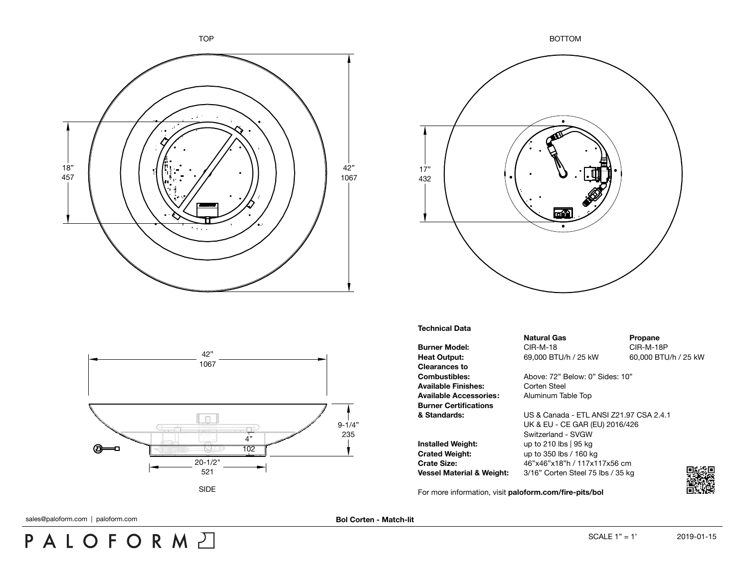





## **Technical Data**

**Burner Model:** CIR-M-18 CIR-M-18 CIR-M-18P **Heat Output:** 69,000 BTU/h / 25 kW 60,000 BTU/h / 25 kW **Clearances to** Available Finishes: Corten Steel **Available Accessories:** Aluminum Table Top **Burner Certifications**

**Installed Weight:** up to 210 lbs | 95 kg **Crated Weight:** up to 350 lbs / 160 kg

**Natural Gas Propane** 

**Combustibles:** Above: 72" Below: 0" Sides: 10"

**& Standards:** US & Canada - ETL ANSI Z21.97 CSA 2.4.1 UK & EU - CE GAR (EU) 2016/426 Switzerland - SVGW **Crate Size:** 46"x46"x18"h / 117x117x56 cm **Vessel Material & Weight:** 3/16" Corten Steel 75 lbs / 35 kg

For more information, visit **[paloform.com/fire-pits/bol](http://paloform.com/fire-pits/bento)**



sales@paloform.com | paloform.com

PALOFORMA

**Bol Corten - Match-lit**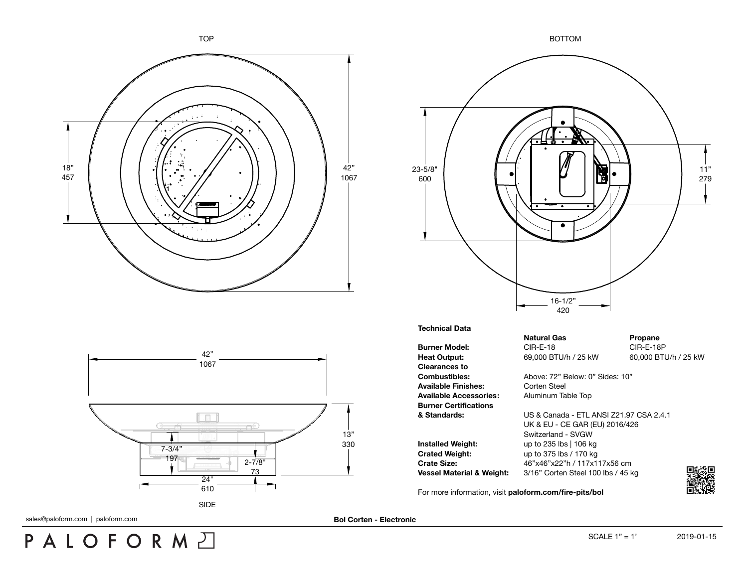



-To

11" 279

**Combustibles:** Above: 72" Below: 0" Sides: 10"

**& Standards:** US & Canada - ETL ANSI Z21.97 CSA 2.4.1 UK & EU - CE GAR (EU) 2016/426 Switzerland - SVGW **Crate Size:** 46"x46"x22"h / 117x117x56 cm **Vessel Material & Weight:** 3/16" Corten Steel 100 lbs / 45 kg

For more information, visit **[paloform.com/fire-pits/bol](http://paloform.com/fire-pits/bento-corten)**

sales@paloform.com | paloform.com **Bol Corten - Electronic** 

PALOFORMA